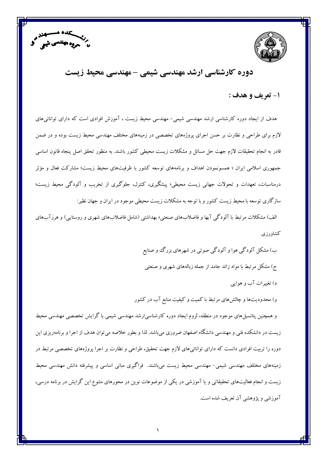



# دورہ کارشناسی ارشد مهندسی شیمی -مهندسی محیط زیست

#### ۱- تعريف و هدف :

هدف از ایجاد دوره کارشناسی ارشد مهندسی شیمی- مهندسی محیط زیست ، آموزش افرادی است که دارای توانائیهای لازم برای طراحی و نظارت بر حسن اجرای پروژههای تخصصی در زمینههای مختلف مهندسی محیط زیست بوده و در ضمن قادر به انجام تحقیقات لازم جهت حل مسائل و مشکلات زیست محیطی کشور باشند. به منظور تحقق اصل پنجاه قانون اساسی جمهوری اسلامی ایران ؛ همسونمودن اهداف و برنامههای توسعه کشور با ظرفیتهای محیط زیست؛ مشارکت فعال و مؤثر درمناسبات، تعهدات و تحولات جهانی زیست محیطی؛ پیشگیری، کنترل، جلوگیری از تخریب و آلودگی محیط زیست؛ سازگاری توسعه با محیط زیست کشور و با توجه به مشکلات زیست محیطی موجود در ایران و جهان نظیر:

الف) مشکلات مرتبط با آلودگی آبها و فاضلابهای صنعتی؛ بهداشتی (شامل فاضلابهای شهری و روستایی) و هرزآبهای كشاورزى

> ب) مشکل آلودگی هوا و آلودگی صوتی در شهرهای بزرگ و صنایع ج) مشکل مرتبط با مواد زائد جامد از جمله زبالههای شهری و صنعتبی د) تغییرات آب و هوایی

و) محدودیتها و چالشهای مرتبط با کمیت و کیفیت منابع آب در کشور

و همچنین پتانسیلهای موجود در منطقه، لزوم ایجاد دوره کارشناسی|رشد مهندسی شیمی با گرایش تخصصی مهندسی محیط زیست در دانشکده فنی و مهندسی دانشگاه اصفهان ضروری میباشد. لذا و بطور خلاصه میتوان هدف از اجرا و برنامهریزی این دوره را تربیت افرادی دانست که دارای توانائیهای لازم جهت تحقیق، طراحی و نظارت بر اجرا پروژههای تخصصی مرتبط در زمینههای مختلف مهندسی شیمی– مهندسی محیط زیست میباشند. فراگیری مبانی اساسی و پیشرفته دانش مهندسی محیط زیست و انجام فعالیتهای تحقیقاتی و یا آموزشی در یکی از موضوعات نوین در محورهای متنوع این گرایش در برنامه درسی، آموزشی و پژوهشی آن تعریف شده است.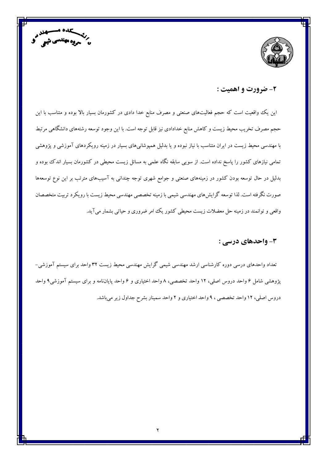



### ۲- ضرورت و اهمیت :

این یک واقعیت است که حجم فعالیتهای صنعتی و مصرف منابع خدا دادی در کشورمان بسیار بالا بوده و متناسب با این حجم مصرف تخریب محیط زیست و کاهش منابع خدادادی نیز قابل توجه است. با این وجود توسعه رشتههای دانشگاهی مرتبط با مهندسی محیط زیست در ایران متناسب با نیاز نبوده و یا بدلیل همپوشانیهای بسیار در زمینه رویکردهای آموزشی و پژوهشی تمامی نیازهای کشور را پاسخ نداده است. از سویی سابقه نگاه علمی به مسائل زیست محیطی در کشورمان بسیار اندک ببوده و بدلیل در حال توسعه بودن کشور در زمینههای صنعتی و جوامع شهری توجه چندانی به آسیبهای مترتب بر این نوع توسعهها صورت نگرفته است. لذا توسعه گرایش های مهندسی شیمی با زمینه تخصصی مهندسی محیط زیست با رویکرد تربیت متخصصان واقعی و توانمند در زمینه حل معضلات زیست محیطی کشور یک امر ضروری و حیاتی بشمار میآید.

### 3- واحدهای درسی :

تعداد واحدهای درسی دوره کارشناسی ارشد مهندسی شیمی گرایش مهندسی محیط زیست ۳۲ واحد برای سیستم آموزشی– پژوهشی شامل ۶ واحد دروس اصلی، ۱۲ واحد تخصصی، ۸ واحد اختیاری و ۶ واحد پایاننامه و برای سیستم آموزشی۹ واحد دروس اصلی، ۱۲ واحد تخصصی ، ۹ واحد اختیاری و ۲ واحد سمینار بشرح جداول زیر میباشد.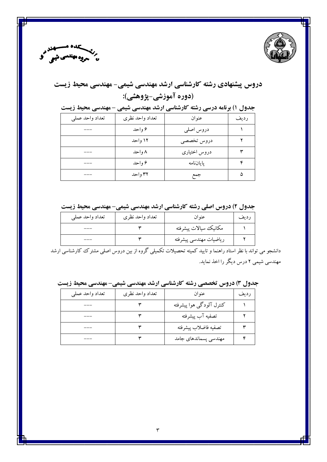



# دروس پیشنهادی رشته کارشناسی ارشد مهندسی شیمی- مهندسی محیط زیست (دوره آموزشي-پژوهشي):

جدول ۱) برنامه درسی رشته کارشناسی ارشد مهندسی شیمی - مهندسی محیط زیست

| تعداد واحد عملي | تعداد واحد نظرى | عنوان        | رديف |
|-----------------|-----------------|--------------|------|
|                 | ۶ واحد          | دروس اصلي    |      |
|                 | ۱۲ واحد         | دروس تخصصي   |      |
|                 | ۸ و احد         | دروس اختیاری |      |
|                 | ۶ واحد          | ياياننامه    |      |
|                 | ۳۲ واحد         | جمع          |      |

### جدول ۲) دروس اصلی رشته کارشناسی ارشد مهندسی شیمی- مهندسی محیط زیست

| تعداد واحد عملي | تعداد واحد نظرى | عنوان                  | ر دىف |
|-----------------|-----------------|------------------------|-------|
|                 |                 | مكانيك سيالات پيشرفته  |       |
|                 |                 | رياضيات مهندسي پيشرفته |       |

.<br>دانشجو می تواند با نظر استاد راهنما و تایید کمیته تحصیلات تکمیلی گروه از بین دروس اصلی مشترک کارشناسی ارشد مهندسی شیمی ۲ درس دیگر را اخذ نماید.

جدول ۳) دروس تخصصی رشته کارشناسی ارشد مهندسی شیمی- مهندسی محیط زیست

| تعداد واحد عملي | تعداد واحد نظرى | عنوان                    | رديف |
|-----------------|-----------------|--------------------------|------|
|                 |                 | كنترل آلودگي هوا پيشرفته |      |
|                 |                 | تصفيه آب پيشرفته         |      |
|                 |                 | تصفيه فاضلاب پيشرفته     |      |
|                 |                 | مهندسی پسماندهای جامد    |      |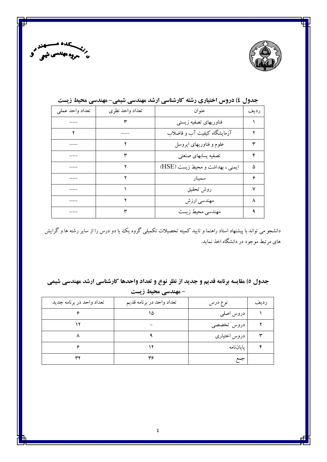



| تعداد واحد عملي | تعداد واحد نظرى | عنوان                            | رديف |
|-----------------|-----------------|----------------------------------|------|
|                 |                 | فناوريهاى تصفيه زيستى            |      |
|                 |                 | آزمایشگاه کیفیت آب و فاضلاب      |      |
|                 |                 | علوم و فناوریهای ایروسل          | ٣    |
|                 |                 | تصفيه پسابهای صنعتی              | ۴    |
|                 |                 | ایمنی ، بهداشت و محیط زیست (HSE) | ۵    |
|                 |                 | سمينار                           | ۶    |
|                 |                 | روش تحقيق                        | v    |
|                 |                 | مهندسی ارزش                      | ٨    |
|                 |                 | مهندسي محيط زيست                 |      |

# جدول ٤) دروس اختیاری رشته کارشناسی ارشد مهندسی شیمی- مهندسی محیط زیست

دانشجو می تواند با پیشنهاد استاد راهنما و تایید کمیته تحصیلات تکمیلی گروه یک یا دو درس را از سایر رشته ها و گرایش های مرتبط موجود در دانشگاه اخذ نماید.

جدول ٥) مقایسه برنامه قدیم و جدید از نظر نوع و تعداد واحدها کارشناسی ارشد مهندسی شیمی

| - مهندسی محیط زیست        |                           |              |      |
|---------------------------|---------------------------|--------------|------|
| تعداد واحد در برنامه جديد | تعداد واحد در برنامه قديم | نوع درس      | رديف |
|                           | ۱۵                        | دروس اصلى    |      |
|                           |                           | دروس تخصصي   |      |
|                           |                           | دروس اختیاری |      |
|                           |                           | ياياننامه    |      |
| ۳۲                        | ۳۶                        | جمع          |      |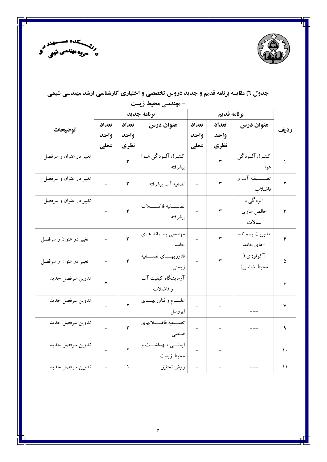



# جدول ٦) مقایسه برنامه قدیم و جدید دروس تخصصی و اختیاری کارشناسی ارشد مهندسی شیمی

|                        | برنامه جديد |       | برنامه قديم                           |       |       |                                 |             |
|------------------------|-------------|-------|---------------------------------------|-------|-------|---------------------------------|-------------|
| توضيحات                | تعداد       | تعداد | عنوان درس                             | تعداد | تعداد | عنوان درس                       | رديف        |
|                        | واحد        | واحد  |                                       | واحد  | واحد  |                                 |             |
|                        | عملى        | نظري  |                                       | عملي  | نظري  |                                 |             |
| تغییر در عنوان و سرفصل |             | ۳     | کنتـرل آلــودگي هــوا<br>ييشرفته      |       | ٣     | كنتـرل آلـودگي<br>هوا           |             |
| تغيير در عنوان و سرفصل |             | ٣     | تصفيه آب پيشرفته                      |       | ٣     | تصــــــفيه آب و<br>فاضلاب      | ۲           |
| تغییر در عنوان و سرفصل |             | ٣     | تصـــفيه فاضـــــلاب<br>پيشرفته       |       | ٣     | آلودگي و<br>خالص سازى<br>سيالات | ٣           |
| تغییر در عنوان و سرفصل |             | ٣     | مهندسی پسماند هـای<br>جامد            |       | ٣     | مديريت پسمانده<br>-های جامد     | ۴           |
| تغيير در عنوان و سرفصل |             | ٣     | فناوريهــــاى تصــــفيه<br>زيستى      |       | ٣     | آکولوژی (<br>محیط شناسی)        | ۵           |
| تدوين سرفصل جديد       | ۲           |       | آزمایشگاه کیفیت آب<br>و فاضلاب        |       |       |                                 | ۶           |
| تدوين سرفصل جديد       |             | ۲     | علـــــوم و فناوريهــــــاى<br>ايروسل |       |       |                                 | ٧           |
| تدوين سرفصل جديد       |             | ٣     | تصفيه فاضلابهاى<br>صنعتبي             |       |       |                                 | ٩           |
| تدوين سرفصل جديد       |             | ۲     | ايمنسيي ، بهداشست و<br>محيط زيست      |       |       |                                 | ١.          |
| تدوين سرفصل جديد       |             | ١     | روش تحقيق                             |       |       |                                 | $\setminus$ |

**- مهندسی محیط زیست**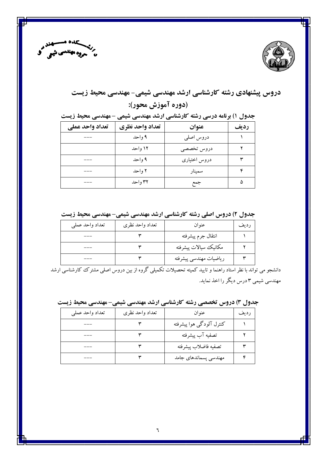



# دروس پیشنهادی رشته کارشناسی ارشد مهندسی شیمی- مهندسی محیط زیست (دوره آموزش محور):

جدول ۱) برنامه درسی رشته کارشناسی ارشد مهندسی شیمی - مهندسی محیط زیست

| تعداد واحد عملي | تعداد واحد نظري | عنوان        | رديف |
|-----------------|-----------------|--------------|------|
|                 | ۹ واحد          | دروس اصلي    |      |
|                 | ۱۲ واحد         | دروس تخصصي   |      |
|                 | ۹ واحد          | دروس اختیاری |      |
|                 | ۲ واحد          | سمينار       | ۴    |
|                 | ۳۲ و احد        | جمع          | ۵    |

جدول ۲) دروس اصلی رشته کارشناسی ارشد مهندسی شیمی-مهندسی محیط زیست

| تعداد واحد عملي | تعداد واحد نظرى | عنوان                  | رديف |
|-----------------|-----------------|------------------------|------|
| ___             |                 | انتقال جرم پيشرفته     |      |
| ___             |                 | مكانيك سيالات پيشرفته  |      |
|                 |                 | رياضيات مهندسي پيشرفته |      |

دانشجو می تواند با نظر استاد راهنما و تایید کمیته تحصیلات تکمیلی گروه از بین دروس اصلی مشترک کارشناسی ارشد مهندسی شیمی ۳ درس دیگر را اخذ نماید.

| جدول ۳) دروس تخصصی رشته کارشناسی ارشد مهندسی شیمی- مهندسی محیط زیست |  |  |  |  |  |  |
|---------------------------------------------------------------------|--|--|--|--|--|--|
|---------------------------------------------------------------------|--|--|--|--|--|--|

| تعداد واحد عملي | تعداد واحد نظرى | عنوان                    | رديف |
|-----------------|-----------------|--------------------------|------|
|                 |                 | كنترل آلودگى هوا پيشرفته |      |
|                 |                 | تصفيه آب پيشرفته         |      |
|                 |                 | تصفيه فاضلاب پيشرفته     |      |
|                 |                 | مهندسی پسماندهای جامد    |      |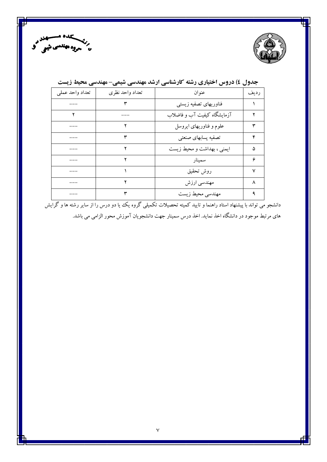



| تعداد واحد عملي | تعداد واحد نظرى | عنوان                       | رديف         |
|-----------------|-----------------|-----------------------------|--------------|
|                 |                 | فناوريهاى تصفيه زيستى       |              |
|                 |                 | آزمایشگاه کیفیت آب و فاضلاب |              |
|                 |                 | علوم و فناوریهای ایروسل     |              |
|                 |                 | تصفيه پسابهای صنعتی         | ۴            |
|                 |                 | ایمنی ، بهداشت و محیط زیست  | ۵            |
|                 |                 | سمينار                      | ۶            |
|                 |                 | روش تحقيق                   | $\checkmark$ |
|                 |                 | مهندسی ارزش                 | ٨            |
|                 |                 | مهندسي محيط زيست            |              |

# جدول ٤) دروس اختیاری رشته کارشناسی ارشد مهندسی شیمی- مهندسی محیط زیست

.<br>دانشجو می تواند با پیشنهاد استاد راهنما و تایید کمیته تحصیلات تکمیلی گروه یک یا دو درس را از سایر رشته ها و گرایش های مرتبط موجود در دانشگاه اخذ نماید. اخذ درس سمینار جهت دانشجویان آموزش محور الزامی می باشد.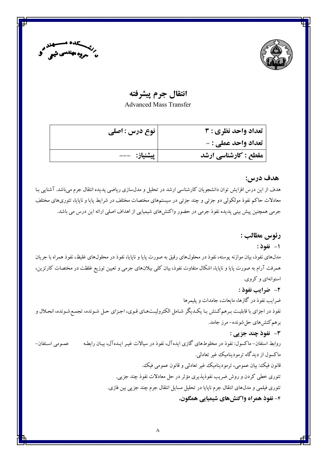



## انتقال جرم پيشرفته

**Advanced Mass Transfer** 

| نوع درس : اصلی | تعداد واحد نظري : 3        |
|----------------|----------------------------|
|                | <b>تعداد واحد عملي : -</b> |
| پیشنیاز:   --- | مقطع : کارشناسی ارشد       |

#### هدف درس:

هدف از این درس افزایش توان دانشجویان کارشناسی ارشد در تحلیل و مدلسازی ریاضی پدیده انتقال جرم می باشد. آشنایی بـا معادلات حاکم نفوذ مولکولی دو جزئی و چند جزئی در سیستمهای مختصات مختلف در شرایط پایا و ناپایا، تئوریهای مختلف جرمی همچنین پیش بینی پدیده نفوذ جرمی در حضور واکنشهای شیمیایی از اهداف اصلی ارائه این درس می باشد.

### رئوس مطالب :

### 1- نفوذ:

مدلهای نفوذ، بیان موازنه پوسته، نفوذ در محلولهای رقیق به صورت پایا و ناپایا، نفوذ در محلولهای غلیظ، نفوذ همراه با جریان همرفت آرام به صورت پایا و ناپایا، اشکال متفاوت نفوذ، بیان کلی بیلانهای جرمی و تعیین توزیع غلظت در مختصات کارتزین، استوانهای و کروی.

#### 2- ضرايب نفوذ :

ضرایب نفوذ در گازها، مایعات، جامدات و پلیمرها نفوذ در اجزاي با قابليت بـرهم كـنش بـا يكـديگر شـامل الكتروليـتـهـاي قـوي، اجـزاي حـل شـونده، تجمـع شـونده، انحـلال و برهم كنش،اي حل شونده- مرز جامد.

#### 3- نفوذ چند جزیی :

روابط استفان– ماکسول: نفوذ در مخلوطهای گازی ایدهآل، نفوذ در سیالات غیـر ایـدهآل، بیـان رابطـه عمومي استفان– ماکسول از دیدگاه ترمودینامیک غیر تعادلبی. قانون فیک: بیان عمومی، ترمودینامیک غیر تعادلی و قانون عمومی فیک. تئوري خطي كردن و روش ضريب نفوذپذيري مؤثر در حل معادلات نفوذ چند جزيي. تئوري فيلمي و مدلهاي انتقال جرم ناپايا در تحليل مسايل انتقال جرم چند جزيبي بين فازي. ۴- نفوذ همراه واكنشهاي شيميايي همگون.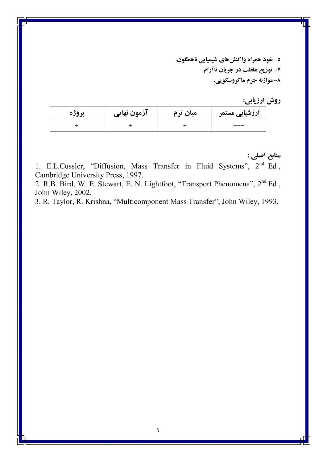٥- نفوذ همراه واكنشهاي شيميايي ناهمگون. ٧- توزيع غلظت در جريان ناآرام. ٨- موازنه جرم ماکروسکوپي.

|  | روش ارزيابي: |
|--|--------------|

| پروژه | آزمون نهایی | میان ترم | ارزشیابی مستمر |
|-------|-------------|----------|----------------|
|       |             |          | ---            |

منابع اصلي :

1. E.L.Cussler, "Diffusion, Mass Transfer in Fluid Systems", 2<sup>nd</sup> Ed, Cambridge University Press, 1997.

2. R.B. Bird, W. E. Stewart, E. N. Lightfoot, "Transport Phenomena", 2<sup>nd</sup> Ed., John Wiley, 2002.

3. R. Taylor, R. Krishna, "Multicomponent Mass Transfer", John Wiley, 1993.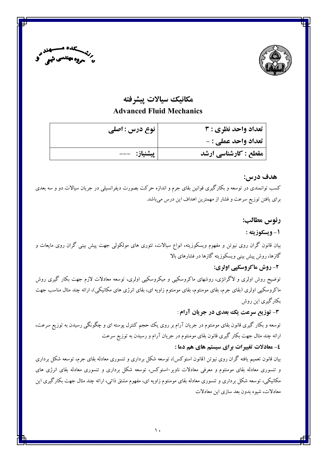



### مكانىك سىالات يىشرفته

### **Advanced Fluid Mechanics**

| نوع درس : اصلی | تعداد واحد نظري : 3        |
|----------------|----------------------------|
|                | <b>تعداد واحد عملي : -</b> |
| پیشنیاز:   --- | مقطع : کارشناسی ارشد       |

### هدف درس:

کسب توانمندی در توسعه و بکارگیری قوانین بقای جرم و اندازه حرکت بصورت دیفرانسیلی در جریان سیالات دو و سه بعدی برای یافتن توزیع سرعت و فشار از مهمترین اهداف این درس میباشد.

### رئوس مطالب:

#### 1- ويسكوزيته :

بیان قانون گران روی نیوتن و مفهوم ویسکوزیته، انواع سیالات، تئوری های مولکولی جهت پیش بینی گران روی مایعات و گازها، روش پیش بینی ویسکوزیته گازها در فشارهای بالا

### 2- روش ماکروسکیے اولری:

توضیح روش اولری و لاگرانژی، روشهای ماکروسکپی و میکروسکپی اولری، توسعه معادلات لازم جهت بکار گیری روش ماکروسکپی اولری (بقای جرم، بقای مومنتوم، بقای مومنتوم زاویه ای، بقای انرژی های مکانیکی)، ارائه چند مثال مناسب جهت بکارگیری این روش

### ۳- توزیع سرعت یک بعدی در جریان آرام :

توسعه و بکار گیری قانون بقای مومنتوم در جریان آرام بر روی یک حجم کنترل پوسته ای و چگونگی رسیدن به توزیع سرعت، ارائه چند مثال جهت بکار گیری قانون بقای مومنتوم در جریان آرام و رسیدن به توزیع سرعت

#### ٤- معادلات تغييرات براي سيستم هاي هم دما :

بیان قانون تعمیم یافته گران روی نیوتن (قانون استوکس)، توسعه شکل برداری و تنسوری معادله بقای جرم، توسعه شکل برداری و تنسوری معادله بقای مومنتوم و معرفی معادلات ناویر–استوکس، توسعه شکل برداری و تنسوری معادله بقای انرژی های مکانیکی، توسعه شکل برداری و تنسوری معادله بقای مومنتوم زاویه ای، مفهوم مشتق ذاتی، ارائه چند مثال جهت بکارگیری این معادلات، شيوه بدون بعد سازي اين معادلات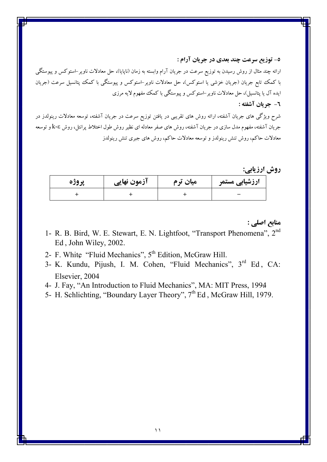٥- توزيع سرعت چند بعدي در جريان آرام :

ارائه چند مثال از روش رسیدن به توزیع سرعت در جریان آرام وابسته به زمان (ناپایا)، حل معادلات ناویر–استوکس و پیوستگی با کمک تابع جریان (جریان خزشی یا استوکس)، حل معادلات ناویر–استوکس و پیوستگی با کمک پتانسیل سرعت (جریان ابده آل با پتانسبل)، حل معادلات ناو پر –استوکس و پیوستگی با کمک مفهوم لایه مرزی

٦- جريان آشفته :

شرح ویژگی های جریان آشفته، ارائه روش های تقریبی در یافتن توزیع سرعت در جریان آشفته، توسعه معادلات رینولدز در جریان آشفته، مفهوم مدل سازی در جریان آشفته، روش های صفر معادله ای نظیر روش طول اختلاط پرانتل، روش k-ε و توسعه معادلات حاکم، روش تنش رینولدز و توسعه معادلات حاکم، روش های جبری تنش رینولدز

روش ارزیابے:

| پروژه | آزمون نهایی | میان ترم | ارزشیابی مستمر |
|-------|-------------|----------|----------------|
|       |             |          |                |

منابع اصلي :

- 1- R. B. Bird, W. E. Stewart, E. N. Lightfoot, "Transport Phenomena", 2<sup>nd</sup> Ed, John Wiley, 2002.
- 2- F. White "Fluid Mechanics", 5<sup>th</sup> Edition, McGraw Hill.
- 3- K. Kundu, Pijush, I. M. Cohen, "Fluid Mechanics", 3rd Ed, CA: Elsevier, 2004
- 4- J. Fay, "An Introduction to Fluid Mechanics", MA: MIT Press, 1994
- 5- H. Schlichting, "Boundary Layer Theory", 7<sup>th</sup> Ed, McGraw Hill, 1979.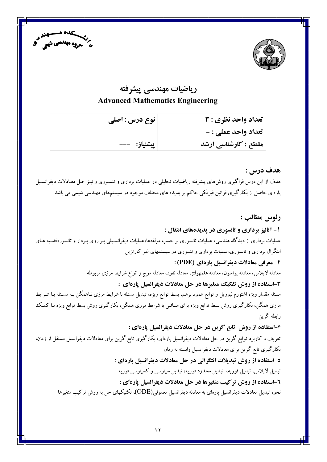



# ریاضیات مهندسی پیشرفته **Advanced Mathematics Engineering**

| نوع درس : اصلی | تعداد واحد نظري : 3        |
|----------------|----------------------------|
|                | <b>تعداد واحد عملي : -</b> |
| پیشنیاز:   --- | مقطع : کارشناسی ارشد       |

هدف درس : هدف از این درس فراگیری روشهای پیشرفته ریاضیات تحلیلی در عملیات برداری و تنسـوری و نیـز حـل معـادلات دیفرانسـیل پارهای حاصل از بکارگیری قوانین فیزیکی حاکم بر پدیده های مختلف موجود در سیستمهای مهندسی شیمی می باشد.

رئوس مطالب : ۱- آنالیز برداری و تانسوری در پدیدههای انتقال : عملیات برداری از دیدگاه هندسی، عملیات تانسوری بر حسب مولفهها،عملیات دیفرانسـیلی بـر روی بـردار و تانسور،قضـیه هـای انتگرال برداری و تانسوری،عملیات برداری و تنسوری در سیستمهای غیر کارتزین **2- معرفي معادلات ديفرانسيل يارهاي (PDE) :** معادله لايلاس، معادله يواسون، معادله هلمهولتز، معادله نفوذ، معادله موج و انواع شرايط مرزى مربوطه ۳-استفاده از روش تفکیک متغیرها در حل معادلات دیفرانسیل پارهای : مسئله مقدار ویژه اشتورم لیوویل و توابع عمود برهم، بسط توابع ویژه، تبدیل مسئله با شرایط مرزی نـاهمگن بـه مسـئله بـا شـرایط مرزی همگن، بکارگیری روش بسط توابع ویژه برای مسائلی با شرایط مرزی همگن، بکارگیری روش بسط توابع ویژه بـا کمـک رابطه گرین ۴-استفاده از روش تابع گرین در حل معادلات دیفرانسیل یارهای : تعریف و کاربرد توابع گرین در حل معادلات دیفرانسیل پارهای، بکارگیری تابع گرین برای معادلات دیفرانسیل مستقل از زمان، بکارگیری تابع گرین برای معادلات دیفرانسیل وابسته به زمان ٥-استفاده از روش تبدیلات انتگرالی در حل معادلات دیفرانسیل پارهای : تبدیل لایلاس، تبدیل فوریه، تبدیل محدود فوریه، تبدیل سینوسی و کسینوسی فوریه **1-استفاده از روش ترکیب متغیرها در حل معادلات دیفرانسیل پارهای :** نحوه تبدیل معادلات دیفرانسیل یارهای به معادله دیفرانسیل معمولی(ODE)، تکنیکهای حل به روش ترکیب متغیرها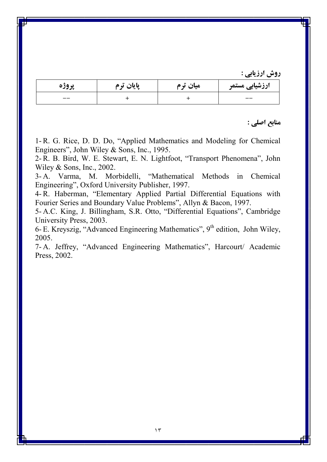| پروژه | پایان ترم | میان ترم | ارزشیابی مستمر |
|-------|-----------|----------|----------------|
| $- -$ |           |          | --             |

منابع اصلي :

1-R. G. Rice, D. D. Do, "Applied Mathematics and Modeling for Chemical Engineers", John Wiley & Sons, Inc., 1995.

2- R. B. Bird, W. E. Stewart, E. N. Lightfoot, "Transport Phenomena", John Wiley & Sons, Inc., 2002.

3-A. Varma, M. Morbidelli, "Mathematical Methods in Chemical Engineering", Oxford University Publisher, 1997.

4- R. Haberman, "Elementary Applied Partial Differential Equations with Fourier Series and Boundary Value Problems", Allyn & Bacon, 1997.

5-A.C. King, J. Billingham, S.R. Otto, "Differential Equations", Cambridge University Press, 2003.

6- E. Kreyszig, "Advanced Engineering Mathematics",  $9<sup>th</sup>$  edition, John Wiley, 2005.

7-A. Jeffrey, "Advanced Engineering Mathematics", Harcourt/ Academic Press, 2002.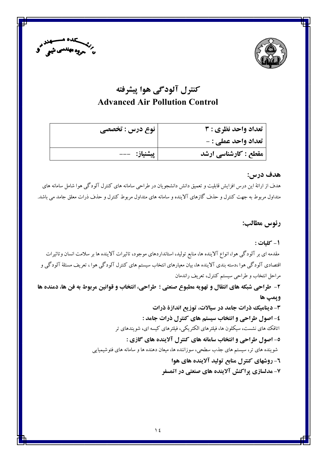



# کنترل آلودگی هوا پیشرفته **Advanced Air Pollution Control**

| تعداد واحد نظري : 3  | نوع درس : تخصصی |
|----------------------|-----------------|
| تعداد واحد عملي : -  |                 |
| مقطع : کارشناسی ارشد | پیشنیاز: ---    |

#### هدف درس:

هدف از ارائهٔ این درس افزایش قابلیت و تعمیق دانش دانشجویان در طراحی سامانه های کنترل آلودگی هوا شامل سامانه های متداول مربوط به جهت کنترل و حذف گازهای آلاینده و سامانه های متداول مربوط کنترل و حذف ذرات معلق جامد می باشد.

رئوس مطالب:

١ - كليات :

مقدمه ای بر آلودگی هوا، انواع آلاینده ها، منابع تولید، استانداردهای موجود، تاثیرات آلاینده ها بر سلامت انسان وتاثیرات اقتصادی آلودگی هوا ،دسته بندی آلاینده ها، بیان معیارهای انتخاب سیستم های کنترل آلودگی هوا ، تعریف مسئلهٔ آلودگی و مراحل انتخاب و طراحی سیستم کنترل، تعریف راندمان ٢- طراحي شبكه هاي انتقال و تهويه مطبوع صنعتي ؛ طراحي، انتخاب و قوانين مربوط به فن ها، دمنده ها ويمپ ها ۳- دینامیک ذرات جامد در سیالات، توزیع اندازهٔ ذرات ٤- اصول طراحي و انتخاب سيستم هاي كنترل ذرات جامد : اتاقک های نشست، سیکلون ها، فیلترهای الکتریکی، فیلترهای کیسه ای، شویندهای تر ٥- اصول طراحي و انتخاب سامانه هاي كنترل آلاينده هاي گازي : شوینده های تر، سیستم های جذب سطحی، سوزاننده ها، میعان دهنده ها و سامانه های فتوشیمیایی ٦- روشهای کنترل منابع تولید آلاینده های هوا ۷- مدلسازی پراکنش آلاینده های صنعتی در اتمسفر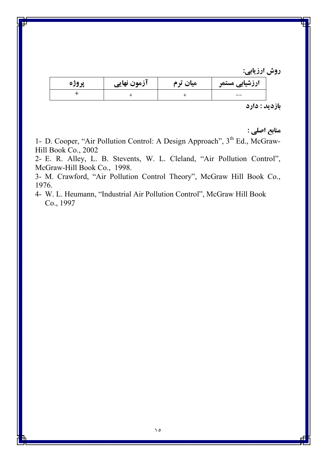| پروڙه | ازمون نهایی | میان ترم | ارزشیابی مستمر |
|-------|-------------|----------|----------------|
|       |             |          | --             |

### بازديد : دارد

منابع اصلي :

1- D. Cooper, "Air Pollution Control: A Design Approach", 3<sup>th</sup> Ed., McGraw-Hill Book Co., 2002

2- E. R. Alley, L. B. Stevents, W. L. Cleland, "Air Pollution Control", McGraw-Hill Book Co., 1998.

3- M. Crawford, "Air Pollution Control Theory", McGraw Hill Book Co., 1976.

4- W. L. Heumann, "Industrial Air Pollution Control", McGraw Hill Book Co., 1997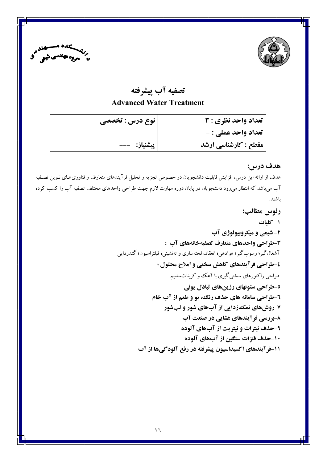



# تصفيه آب پيشرفته **Advanced Water Treatment**

| تعداد واحد نظري : 3  | نوع درس : تخصصی |
|----------------------|-----------------|
| تعداد واحد عملي : -  |                 |
| مقطع : کارشناسی ارشد | پیشنیاز: ---    |

# هدف درس:

هدف از ارائه این درس، افزایش قابلیت دانشجویان در خصوص تجزیه و تحلیل فرآیندهای متعارف و فناوریهـای نـوین تصـفیه آب میباشد که انتظار می٫ود دانشجویان در پایان دوره مهارت لازم جهت طراحی واحدهای مختلف تصفیه آب را کسب کرده باشند.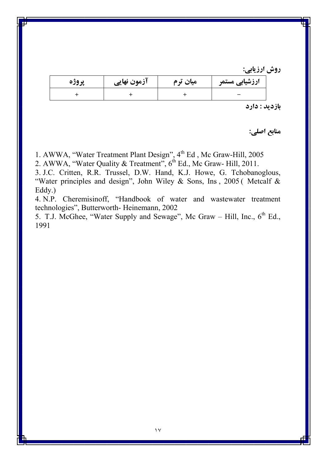روش ارزیابے:

| پروره | آزمون نهایی | میان ترم | ارزشیابی مستمر |
|-------|-------------|----------|----------------|
|       |             |          |                |

بازديد : دارد

منابع اصلي:

1. AWWA, "Water Treatment Plant Design", 4<sup>th</sup> Ed, Mc Graw-Hill, 2005

2. AWWA, "Water Quality & Treatment", 6<sup>th</sup> Ed., Mc Graw- Hill, 2011.

3. J.C. Critten, R.R. Trussel, D.W. Hand, K.J. Howe, G. Tchobanoglous, "Water principles and design", John Wiley & Sons, Ins, 2005 (Metcalf &  $Eddy.$ 

4. N.P. Cheremisinoff, "Handbook of water and wastewater treatment technologies", Butterworth-Heinemann, 2002

5. T.J. McGhee, "Water Supply and Sewage", McGraw - Hill, Inc., 6<sup>th</sup> Ed., 1991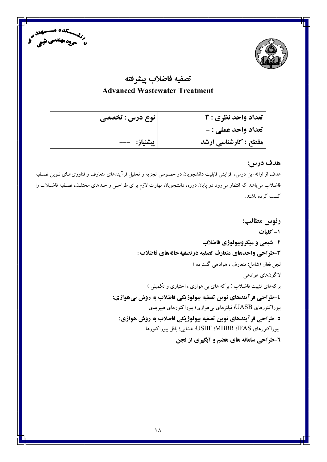



# تصفيه فاضلاب ييشرفته **Advanced Wastewater Treatment**

| نوع درس : تخصصی | تعداد واحد نظري : 3  |
|-----------------|----------------------|
|                 | تعداد واحد عملي : -  |
| پیشنیاز:   ---  | مقطع : کارشناسی ارشد |

### هدف درس:

هدف از ارائه این درس، افزایش قابلیت دانشجویان در خصوص تجزیه و تحلیل فرآیندهای متعارف و فناوریهای نـوین تصـفیه فاضلاب می باشد که انتظار می رود در پایان دوره، دانشجویان مهارت لازم برای طراحبی واحـدهای مختلـف تصـفیه فاضـلاب را كسب كرده باشند.

> رئوس مطالب: ۱- کلیات ۲- شیمی و میکروبیولوژی فاضلاب 3-طراحي واحدهاي متعارف تصفيه درتصفيهخانههاي فاضلاب : لجن فعال (شامل: متعارف ، هوادهی گسترده ) لاگونهاي هوادهي برکههای تثبیت فاضلاب ( برکه های بی هوازی ، اختیاری و تکمیلی ) ٤-طراحي فرآيندهاي نوين تصفيه بيولوژيكي فاضلاب به روش بيهوازي: بیوراکتورهای UASB؛ فیلترهای بیهوازی؛ بیوراکتورهای هیبریدی ٥-طراحي فرآيندهاي نوين تصفيه بيولوژيكي فاضلاب به روش هوازي: بيوراكتورهاي USBF :MBBR :IFAS؛ غشايي؛ بافل بيوراكتورها **٦-طراحي سامانه هاي هضم و آبگيري از لجن**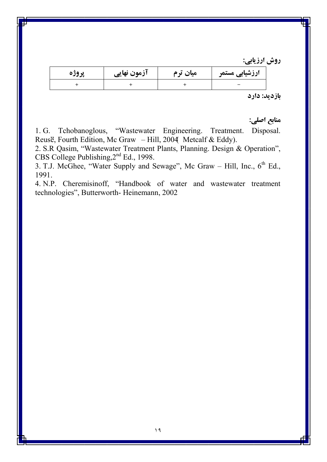| ازمون نهایی | میان ترم | ارزشیابی مستمر |
|-------------|----------|----------------|
|             |          |                |

بازديد: دارد

منابع اصلي:

1. G. Tchobanoglous, "Wastewater Engineering. Treatment. Disposal. Reusë, Fourth Edition, Mc Graw - Hill, 2004 Metcalf & Eddy).

2. S.R. Qasim, "Wastewater Treatment Plants, Planning. Design & Operation", CBS College Publishing, 2<sup>nd</sup> Ed., 1998.

3. T.J. McGhee, "Water Supply and Sewage", McGraw – Hill, Inc.,  $6^{th}$  Ed., 1991.

4. N.P. Cheremisinoff, "Handbook of water and wastewater treatment technologies", Butterworth-Heinemann, 2002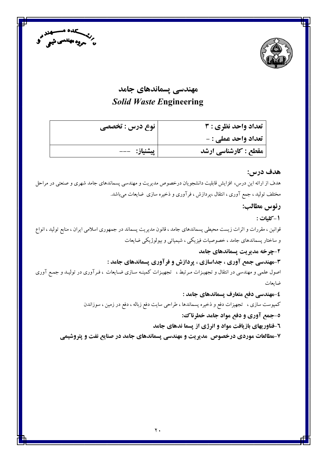



# مهندسی یسماندهای جامد **Solid Waste Engineering**

| تعداد واحد نظري : 3  | نوع درس : تخصصی |
|----------------------|-----------------|
| تعداد واحد عملي : -  |                 |
| مقطع : کارشناسی ارشد | پیشنیاز:   ---  |

#### هدف درس:

هدف از ارائه این درس، افزایش قابلیت دانشجویان درخصوص مدیریت و مهندسی پسماندهای جامد شهری و صنعتی در مراحل مختلف تولید ، جمع آوری ، انتقال ،پردازش ، فرآوری و ذخیره سازی ضایعات میباشد.

رئوس مطالب:

1-كليات :

قوانین ، مقررات و اثرات زیست محیطی پسماندهای جامد ، قانون مدیریت پسماند در جمهوری اسلامی ایران ، منابع تولید ، انواع و ساختار پسماندهای جامد ، خصوصیات فیزیکی ، شیمیائی و بیولوژیکی ضایعات

#### ۲-چرخه مدیریت یسماندهای جامد

۳-مهندسی جمع آوری ، جداسازی ، پردازش و فرآوری پسماندهای جامد :

اصول علمی و مهندسی در انتقال و تجهیـزات مـرتبط ، تجهـیـزات کمینـه سـازی ضـایعات ، فـرآوری در تولیـد و جمـع آوری ضايعات

٤-مهندسي دفع متعارف يسماندهاي جامد : کمپوست سازی ، تجهیزات دفع و ذخیره پسماندها ، طراحی سایت دفع زباله ، دفع در زمین ، سوزاندن ٥-جمع آوري و دفع مواد جامد خطرناك: **۱-فناوریهای بازیافت مواد و انرژی از پسما ندهای جامد** ۷-مطالعات موردی درخصوص ًمدیریت و مهندسی پسماندهای جامد در صنایع نفت و پتروشیمی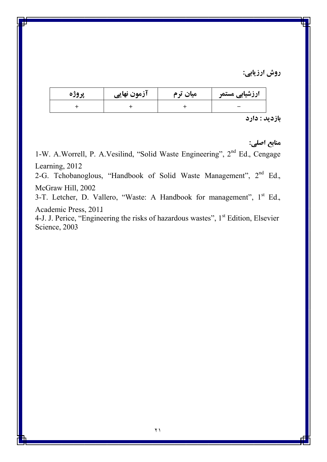| پروزه | آزمون نهایی | میان ترم | ارزشیابی مستمر |
|-------|-------------|----------|----------------|
|       |             |          |                |
|       |             |          |                |

بازديد : دارد

منابع اصلي:

1-W. A.Worrell, P. A.Vesilind, "Solid Waste Engineering", 2<sup>nd</sup> Ed., Cengage Learning, 2012

2-G. Tchobanoglous, "Handbook of Solid Waste Management", 2<sup>nd</sup> Ed., McGraw Hill, 2002

3-T. Letcher, D. Vallero, "Waste: A Handbook for management", 1<sup>st</sup> Ed., Academic Press, 2011

4-J. J. Perice, "Engineering the risks of hazardous wastes", 1<sup>st</sup> Edition, Elsevier Science, 2003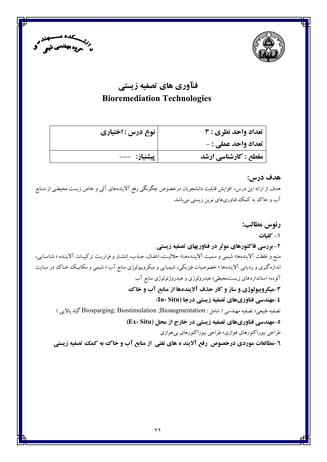



# فنآوري هاي تصفيه زيستي **Bioremediation Technologies**

| تعداد واحد نظري : 3  | نوع درس : اختیاری |
|----------------------|-------------------|
| تعداد واحد عملي : -  |                   |
| مقطع : کارشناسی ارشد | پیشنیاز:   ---    |

### هدف درس:

هدف از ارائه این درس، افزایش قابلیت دانشجویان درخصوص چگونگی رفع آلایندههای آلمی و خاص زیست محیطبی از منـابع آب و خاک به کمک فناوریهای نوین زیستی میباشد.

رئوس مطالب: ۱- کلیات ۲- بررسی فاکتورهای موثر در فناوریهای تصفیه زیستی منبع و غلظت آلایندهها؛ شیمی و سمیت آلاینـدههـا؛ حلالیـت، انتقـال، جـذب، انتشـار و فراریـت ترکیبـات آلاینـده ؛ شناسـایی، اندازه گیری و ردیابی آلایندهها ؛ خصوصیات فیزیکی، شیمیایی و میکروبیولوژی منابع آب ؛ شیمی و مکانیک خحاک در سـایت آلوده؛ استانداردهای زیست.حیطی؛ هیدرولوژی و هیدروژئولوژی منابع آب 3-میکروبیولوژی و ساز و کار حذف آلایندهها از منابع آب و خاک ٤-مهندسي فناوريهاي تصفيه زيستي درجا (In- Situ) تصفيه طبيعي؛ تصفيه مهندسي ( شامل : Biosparging; Biostimulation ;Bioaugmentation گياه پالايي ) 0-مهندسی فناوریهای تصفیه زیستی در خارج از محل (Ex- Situ) طراحي بيوراكتورهاي هوازي؛ طراحي بيوراكتورهاي بي هوازي **8-مطالعات موردی درخصوص ًرفع آلایند ه های نفتی از منابع آب و خاک به کمک تصفیه زیستی**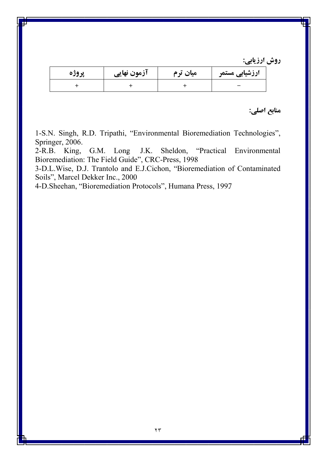| پروژه | ازمون نهایی | میان ترم | ارزشیابی مستمر |
|-------|-------------|----------|----------------|
|       |             |          |                |

### منابع اصلي:

1-S.N. Singh, R.D. Tripathi, "Environmental Bioremediation Technologies", Springer, 2006.

"Practical Environmental J.K.  $2-R.B.$  King, G.M. Long Sheldon, Bioremediation: The Field Guide", CRC-Press, 1998

3-D.L.Wise, D.J. Trantolo and E.J.Cichon, "Bioremediation of Contaminated Soils", Marcel Dekker Inc., 2000

4-D.Sheehan, "Bioremediation Protocols", Humana Press, 1997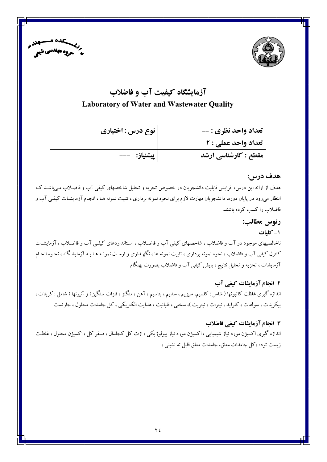



# آزمایشگاه کیفیت آب و فاضلاب **Laboratory of Water and Wastewater Quality**

| تعداد واحد نظری : -- | نوع درس : اختیاری |
|----------------------|-------------------|
| تعداد واحد عملي : 2  |                   |
| مقطع : کارشناسی ارشد | پیشنیاز:   ---    |

### هدف درس:

هدف از ارائه این درس، افزایش قابلیت دانشجویان در خصوص تجزیه و تحلیل شاخصهای کیفی آب و فاضلاب می باشـد کـه انتظار میرود در پایان دوره، دانشجویان مهارت لازم برای نحوه نمونه برداری ، تثبیت نمونه هـا ، انجـام آزمایشـات کیفـی آب و فاضلاب را كسب كرده باشند.

> رئوس مطالب: ۱- کلیات

ناخالصیهای موجود در آب و فاضلاب ، شاخصهای کیفی آب و فاضلاب ، استانداردهای کیفی آب و فاضلاب ، آزمایشـات کنترل کیفی آب و فاضلاب ، نحوه نمونه برداری ، تثبیت نمونه ها ، نگهـداری و ارسـال نمونـه هـا بـه آزمایشـگاه ، نحـوه انجـام آزمایشات ، تجزیه و تحلیل نتایج ، پایش کیفی آب و فاضلاب بصورت بهنگام

۲-انجام آزمایشات کیفی آب اندازه گیری غلظت کاتیونها ( شامل : کلسیم، منیزیم ، سدیم ، پتاسیم ، آهن ، منگنز ، فلزات سنگین) و آنیونها ( شامل : کربنات ، بیکربنات ، سولفات ، کلراید ، نیترات ، نیتریت )، سختی ، قلیائیت ، هدایت الکتریکی ، کل جامدات محلول ، جارتست

3-انجام آزمايشات كيفي فاضلاب اندازه گیری اکسیژن مورد نیاز شیمیایی ، اکسیژن مورد نیاز بیولوژیکی ، ازت کل کجلدال ، فسفر کل ، اکسیژن محلول ، غلظت زیست توده ،کل جامدات معلق، جامدات معلق قابل ته نشینی ،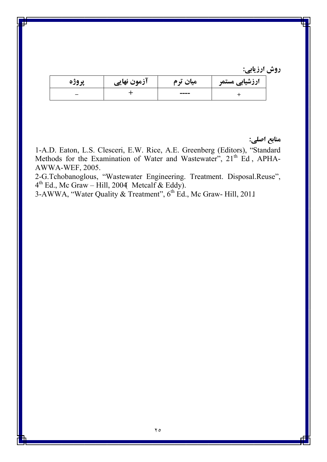| پروره | ازمون نهایی | میان ترم | ارزشیابی مستمر |
|-------|-------------|----------|----------------|
|       |             | ----     |                |

منابع اصلي:

1-A.D. Eaton, L.S. Clesceri, E.W. Rice, A.E. Greenberg (Editors), "Standard Methods for the Examination of Water and Wastewater", 21<sup>th</sup> Ed, APHA-AWWA-WEF, 2005.

2-G.Tchobanoglous, "Wastewater Engineering. Treatment. Disposal.Reuse", 4<sup>th</sup> Ed., Mc Graw – Hill, 2004 Metcalf & Eddy).<br>3-AWWA, "Water Quality & Treatment", 6<sup>th</sup> Ed., Mc Graw- Hill, 2011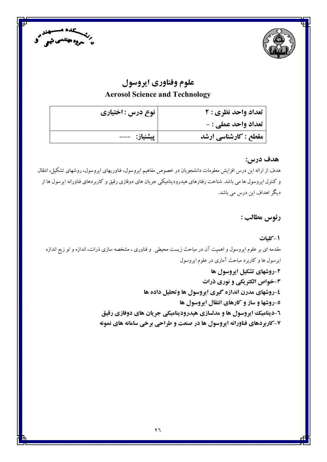



# علوم وفناوري ايروسول **Aerosol Science and Technology**

| نوع درس : اختیاری | تعداد واحد نظری : ۲        |
|-------------------|----------------------------|
|                   | <b>تعداد واحد عملي : -</b> |
| پیشنیاز: ---      | مقطع : کارشناسی ارشد       |

### هدف درس:

هدف از ارائه این درس افزایش معلومات دانشجویان در خصوص مفاهیم ایروسول، فناوریهای ایروسول، روشهای تشکیل، انتقال و کنترل ایروسول ها می باشد. شناخت رفتارهای هیدرودینامیکی جریان های دوفازی رقیق و کاربردهای فناورانه ایرسول ها از دیگر اهداف این درس می باشد.

رئوس مطالب :

### 1-كليات

مقدمه ای بر علوم ایروسول و اهمیت آن در مباحث زیست محیطی ً و فناوری ، مشخصه سازی ذرات، اندازه و تو زیع اندازه ایرسول ها و کاربرد مباحث آماری در علوم ایروسول ۲-روشهای تشکیل ایروسول ها ۳-خواص الکتریکی و نوری ذرات ٤-روشهای مدرن اندازه گیری ایروسول ها وتحلیل داده ها ٥-روشها و ساز و کارهای انتقال ایروسول ها **1-ديناميک ايروسول ها و مدلسازي هيدروديناميکي جريان هاي دوفازي رقيق** ۷-کاربردهای فناورانه ایروسول ها در صنعت و طراحی برخی سامانه های نمونه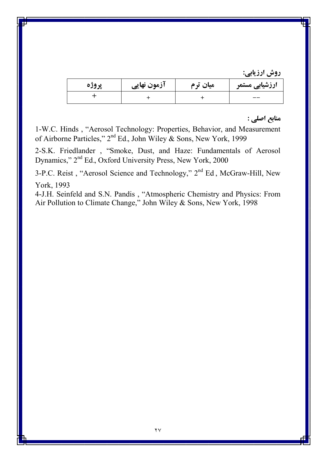| پروژه | آزمون نهایی | میان ترم | ارزشیابی مستمر |
|-------|-------------|----------|----------------|
|       |             |          | __             |

## منابع اصلي :

1-W.C. Hinds, "Aerosol Technology: Properties, Behavior, and Measurement of Airborne Particles,"  $2<sup>nd</sup>$  Ed., John Wiley & Sons, New York, 1999

2-S.K. Friedlander, "Smoke, Dust, and Haze: Fundamentals of Aerosol Dynamics," 2<sup>nd</sup> Ed., Oxford University Press, New York, 2000

3-P.C. Reist, "Aerosol Science and Technology," 2<sup>nd</sup> Ed, McGraw-Hill, New York, 1993

4-J.H. Seinfeld and S.N. Pandis, "Atmospheric Chemistry and Physics: From Air Pollution to Climate Change," John Wiley & Sons, New York, 1998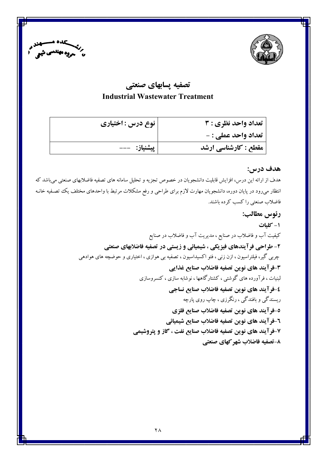



# تصفيه يسابهاي صنعتي **Industrial Wastewater Treatment**

| تعداد واحد نظري : 3  | نوع درس : اختیاری |
|----------------------|-------------------|
| تعداد واحد عملي : -  |                   |
| مقطع : کارشناسی ارشد | پیشنیاز:   ---    |

### هدف درس:

هدف از ارائه این درس، افزایش قابلیت دانشجویان در خصوص تجزیه و تحلیل سامانه های تصفیه فاضلابهای صنعتی می باشد که انتظار میرود در پایان دوره، دانشجویان مهارت لازم برای طراحی و رفع مشکلات مرتبط با واحدهای مختلف یک تصـفیه خانـه فاضلاب صنعتی را کسب کرده باشند.

> رئوس مطالب: ١- كليات کیفیت آب و فاضلاب در صنایع ، مدیریت آب و فاضلاب در صنایع ۲- طراحی فرآیندهای فیزیکی ، شیمیائی و زیستی در تصفیه فاضلابهای صنعتی چربی گیر، فیلتراسیون ، ازن زنبی ، فتو اکسیداسیون ، تصفیه بی هوازی ، اختیاری و حوضچه های هوادهی ٣-فرآيند هاي نوين تصفيه فاضلاب صنايع غذايي لبنیات ، فرآورده های گوشتی ، کشتارگاهها ، نوشابه سازی ، کنسروسازی ٤-فرآيند هاي نوين تصفيه فاضلاب صنايع نساجي ریسندگی و بافندگی ، رنگرزی ، چاپ روی پارچه ٥-فرآيند هاي نوين تصفيه فاضلاب صنايع فلزي ٦-فرآيند هاي نوين تصفيه فاضلاب صنايع شيميائي ۷-فرآیند های نوین تصفیه فاضلاب صنایع نفت ، گاز و پتروشیمی ٨-تصفيه فاضلاب شهر كهاي صنعتي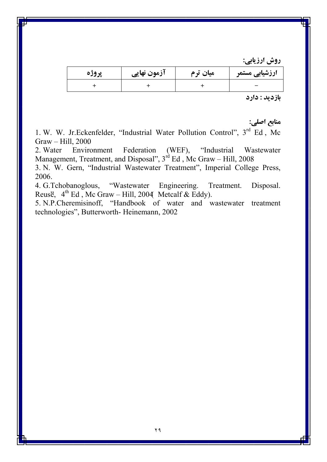| پروژه | آزمون نهایی | میان ترم | ارزشیابی مستمر |
|-------|-------------|----------|----------------|
|       |             |          |                |

بازديد : دارد

منابع اصلي:

1. W. W. Jr.Eckenfelder, "Industrial Water Pollution Control", 3rd Ed, Mc  $Graw - Hill$ , 2000

Federation "Industrial Environment  $(WEF),$ 2. Water Wastewater Management, Treatment, and Disposal",  $3<sup>rd</sup>$  Ed, Mc Graw – Hill, 2008

3. N. W. Gern, "Industrial Wastewater Treatment", Imperial College Press, 2006.

4. G. Tchobanoglous, "Wastewater Engineering. Treatment. Disposal. Reusë,  $4^{th}$  Ed, Mc Graw – Hill, 2004 Metcalf & Eddy).

5. N.P.Cheremisinoff, "Handbook of water and wastewater treatment technologies", Butterworth-Heinemann, 2002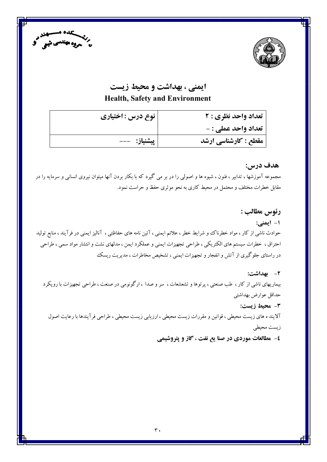



# ایمنی ، بهداشت و محیط زیست **Health, Safety and Environment**

| نوع درس : اختیاری | تعداد واحد نظري : ٢  |
|-------------------|----------------------|
|                   | تعداد واحد عملي : -  |
| پیشنیاز: ---      | مقطع : كارشناسي ارشد |

هدف درس:

مجموعه آموزشها ، تدابیر ، فنون ، شیوه ها و اصولی را در بر می گیرد که با بکار بردن آنها میتوان نیروی انسانی و سرمایه را در مقابل خطرات مختلف و محتمل در محیط کاری به نحو موثری حفظ و حراست نمود.

رئوس مطالب : ۱- ایمنی: حوادث ناشی از کار ، مواد خطرناک و شرایط خطر ، علائم ایمنی ، آئین نامه های حفاظتی ، آنالیز ایمنی در فرآیند ، منابع تولید احتراق ، خطرات سیستم های الکتریکی ، طراحی تجهیزات ایمنی و عملکرد ایمن ، مدلهای نشت و انتشار مواد سمی ، طراحی در راستای جلوگیری از آتش و انفجار و تجهیزات ایمنی ، تشخیص مخاطرات ، مدیریت ریسک

٢- بهداشت: بیماریهای ناشی از کار ، طب صنعتی ، پرتوها و تشعشعات ، سر و صدا ، ارگونومی در صنعت ، طراحی تجهیزات با رویکرد حداقل عوارض بهداشتي ٣- محيط زيست:

آلایند ه های زیست محیطی ، قوانین و مقررات زیست محیطی ، ارزیابی زیست محیطی ، طراحی فرآیندها با رعایت اصول زيست محيطى

٤- مطالعات موردي در صنا يع نفت ، گاز و پتروشيمي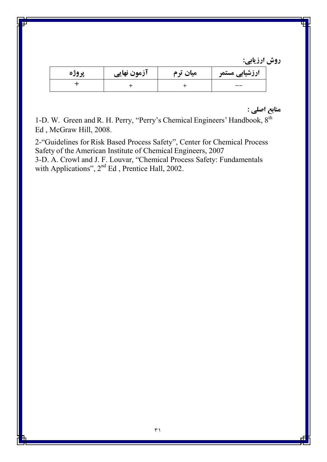| پروژه | آزمون نهایی | میان ترم | ارزشیابی مستمر |
|-------|-------------|----------|----------------|
|       |             |          | --             |

منابع اصلي :

1-D. W. Green and R. H. Perry, "Perry's Chemical Engineers' Handbook, 8<sup>th</sup> Ed, McGraw Hill, 2008.

2-"Guidelines for Risk Based Process Safety", Center for Chemical Process Safety of the American Institute of Chemical Engineers, 2007 3-D. A. Crowl and J. F. Louvar, "Chemical Process Safety: Fundamentals<br>with Applications", 2<sup>nd</sup> Ed., Prentice Hall, 2002.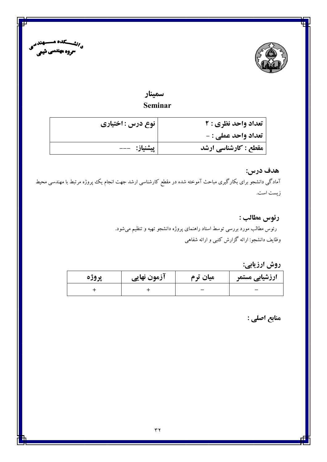



# سمينار

## Seminar

| تعداد واحد نظري : 2        | نوع درس : اختیاری |
|----------------------------|-------------------|
| <b>تعداد واحد عملي : -</b> |                   |
| مقطع : کارشناسی ارشد       | پیشنیاز: ---      |

# هدف درس: آمادگی دانشجو برای بکارگیری مباحث آموخته شده در مقطع کارشناسی ارشد جهت انجام یک پروژه مرتبط با مهندسی محیط زيست است.

## رئوس مطالب :

رئوس مطالب مورد بررسی توسط استاد راهنمای پروژه دانشجو تهیه و تنظیم میشود. وظایف دانشجو: ارائه گزارش کتبی و ارائه شفاهی

روش ارزيابي:

| پروژه | آزمون نهایی | میان ترم | ارزشیابی مستمر |
|-------|-------------|----------|----------------|
|       |             |          |                |

منابع اصلي :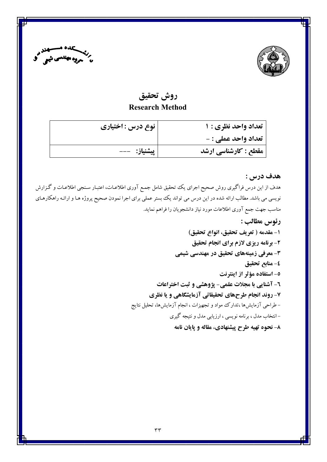



# روش تحقيق **Research Method**

| تعداد واحد نظري : ١         | نوع درس : اختیاری |
|-----------------------------|-------------------|
| تعداد واحد عملي : -         |                   |
| <b>مقطع : کارشناسی ارشد</b> |                   |

### هدف درس :

هدف از این درس فراگیری روش صحیح اجرای یک تحقیق شامل جمع آوری اطلاعـات، اعتبـار سـنجی اطلاعـات و گـزارش نویسی می باشد. مطالب ارائه شده در این درس می تواند یک بستر عملی برای اجرا نمودن صحیح پروژه هـا و ارائـه راهکارهـای مناسب جهت جمع آوري اطلاعات مورد نياز دانشجويان را فراهم نمايد.

> رئوس مطالب : ١- مقدمه ( تعريف تحقيق، انواع تحقيق) ۲- برنامه ریزی لازم برای انجام تحقیق ۳- معرفی زمینههای تحقیق در مهندسی شیمی ٤- منابع تحقيق ٥- استفاده مؤثر از اينترنت ٦- آشنایی با مجلات علمی- پژوهشی و ثبت اختراعات ۷- روند انجام طرحهای تحقیقاتی آزمایشگاهی و یا نظری – طراحی آزمایشها ،تدارک مواد و تجهیزات ، انجام آزمایشها، تحلیل نتایج – انتخاب مدل ، برنامه نویسی ، ارزیابی مدل و نتیجه گیری ۸- نحوه تهیه طرح پیشنهادی، مقاله و پایان نامه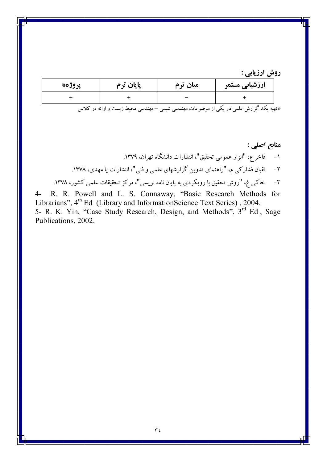| پروژه* | پایان ترم | میان ترم | ارزشیابی مستمر |
|--------|-----------|----------|----------------|
|        |           |          |                |
|        |           |          |                |

\*تهیه یک گزارش علمی در یکی از موضوعات مهندسی شیمی –مهندسی محیط زیست و ارائه در کلاس

4- R. R. Powell and L. S. Connaway, "Basic Research Methods for Librarians",  $4^{\text{th}}$  Ed (Library and Information Science Text Series), 2004.<br>5- R. K. Yin, "Case Study Research, Design, and Methods",  $3^{\text{rd}}$  Ed, Sage  $4-$ Publications, 2002.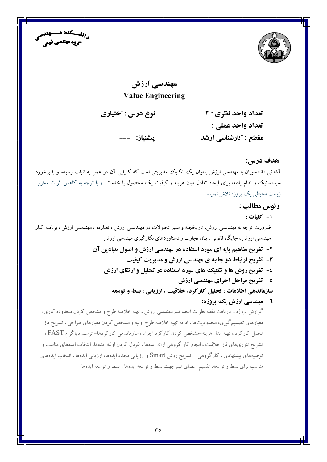



# مهندسی ارزش **Value Engineering**

| تعداد واحد نظري : 2  | ٔ نوع درس : اختیاری |
|----------------------|---------------------|
| تعداد واحد عملي : -  |                     |
| مقطع : کارشناسی ارشد | پیشنیاز:   ---      |

### هدف درس:

آشنائی دانشجویان با مهندسی ارزش بعنوان یک تکنیک مدیریتی است که کارایی آن در عمل به اثبات رسیده و با برخورد سیستماتیک و نظام یافته، برای ایجاد تعادل میان هزینه و کیفیت یک محصول یا خدمت و با توجه به کاهش اثرات مخرب زیست محیطی یک پروزه تلاش نمایند.

### رئوس مطالب :

١- كليات:

ضرورت توجه به مهندسی ارزش، تاریخچـه و سـیر تحـولات در مهندسـی ارزش ، تعـاریف مهندسـی ارزش ، برنامـه کـار مهندسی ارزش ، جایگاه قانونی ، بیان تجارب و دستاوردهای بکارگیری مهندسی ارزش ۲- تشریح مفاهیم پایه ای مورد استفاده در مهندسی ارزش و اصول بنیادین آن

- 3- تشریح ارتباط دو جانبه ی مهندسی ارزش و مدیریت کیفیت
- ٤- تشریح روش ها و تکنیک های مورد استفاده در تحلیل و ارتقای ارزش
	- ٥- تشریح مراحل اجرای مهندسی ارزش

سازماندهي اطلاعات ، تحليل كاركرد، خلاقيت ، ارزيابي ، بسط و توسعه

٦- مهندسي ارزش يک يروزه:

گزارش پروژه و دریافت نقطه نظرات اعضا تیم مهندسی ارزش ، تهیه خلاصه طرح و مشخص کردن محدوده کاری، معیارهای تصمیم گیری، محدودیتها ، ادامه تهیه خلاصه طرح اولیه و مشخص کردن معیارهای طراحی ، تشریح فاز تحلیل کارکرد ، تهیه مدل هزینه-مشخص کردن کارکرد اجزاء ، سازماندهی کارکردها- ترسیم دیاگرام FAST، تشریح تئوریهای فاز خلاقیت ، انجام کار گروهی ارائه ایدهها ، غربال کردن اولیه ایدهها، انتخاب ایدههای مناسب و توصیههای پیشنهادی ، کارگروهی <sup>—</sup> تشریح روش Smart و ارزیابی مجدد ایدهها، ارزیابی ایدهها ، انتخاب ایدههای مناسب برای بسط و توسعه، تقسیم اعضای تیم جهت بسط و توسعه ایدهها ، بسط و توسعه ایدهها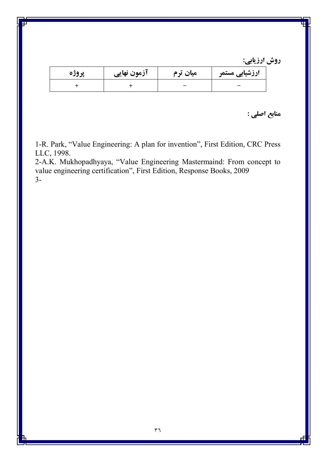| پروژه | ازمون نهایی | میان ترم | ارزشیابی مستمر |
|-------|-------------|----------|----------------|
|       |             |          |                |

منابع اصلي :

1-R. Park, "Value Engineering: A plan for invention", First Edition, CRC Press LLC, 1998.

2-A.K. Mukhopadhyaya, "Value Engineering Mastermaind: From concept to value engineering certification", First Edition, Response Books, 2009  $3-$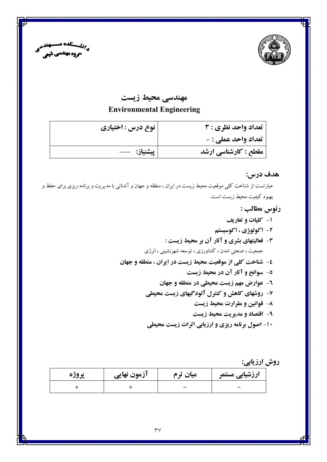



### مهندسی محیط زیست

### **Environmental Engineering**

| تعداد واحد نظري : 3  | نوع درس : اختیاری |
|----------------------|-------------------|
| تعداد واحد عملي : -  |                   |
| مقطع : کارشناسی ارشد | پیشنیاز:   ---    |

### هدف درس:

عبارتست از شناخت کلی موقعیت محیط زیست در ایران ، منطقه و جهان و آشنائی با مدیریت و برنامه ریزی برای حفظ و بهبود كيفيت محيط زيست است.

### رئوس مطالب :

- ۱- کلیات و تعاریف
- ۲- اکولوژی ، اکوسیستم
- ۳- فعالیتهای بشری و آثار آن بر محیط زیست : جمعیت ، صنعتی شدن ، کشاورزی ، توسعه شهرنشینی ، انرژی
- ٤- شناخت كلي از موقعيت محيط زيست در ايران ، منطقه و جهان
	- ٥- سوانح و آثار آن در محیط زیست
	- **٦- عوارض مهم زيست محيطي در منطقه و جهان**
	- ۷- روشهای کاهش و کنترل آلودگیهای زیست محیطی
		- ۸- قوانین و مقرارت محیط زیست
		- ۹- اقتصاد و مدیریت محیط زیست
	- ۱۰- اصول برنامه ریزی و ارزیابی اثرات زیست محیطی

روش ارزيابي:

| پروژه | ازمون نهایی | میان ترم | ارزشیابی مستمر |
|-------|-------------|----------|----------------|
|       |             |          |                |